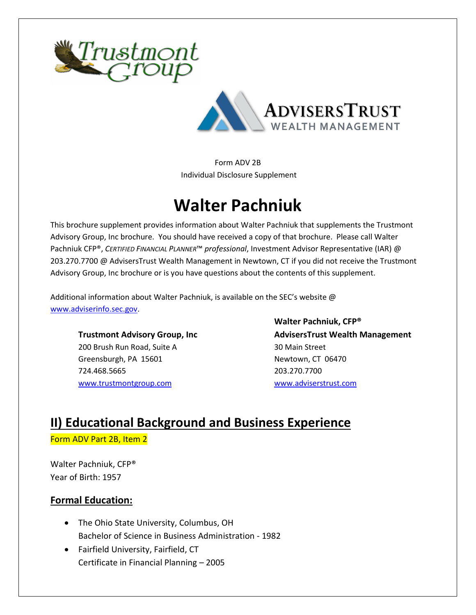



Form ADV 2B Individual Disclosure Supplement

# **Walter Pachniuk**

This brochure supplement provides information about Walter Pachniuk that supplements the Trustmont Advisory Group, Inc brochure. You should have received a copy of that brochure. Please call Walter Pachniuk CFP®, *CERTIFIED FINANCIAL PLANNER*™ *professional*, Investment Advisor Representative (IAR) @ 203.270.7700 @ AdvisersTrust Wealth Management in Newtown, CT if you did not receive the Trustmont Advisory Group, Inc brochure or is you have questions about the contents of this supplement.

Additional information about Walter Pachniuk, is available on the SEC's website @ [www.adviserinfo.sec.gov.](http://www.adviserinfo.sec.gov/)

200 Brush Run Road, Suite A 30 Main Street Greensburgh, PA 15601 Newtown, CT 06470 724.468.5665 203.270.7700 [www.trustmontgroup.com](http://www.trustmontgroup.com/) [www.adviserstrust.com](http://www.adviserstrust.com/)

**Walter Pachniuk, CFP® Trustmont Advisory Group, Inc AdvisersTrust Wealth Management**

### **II) Educational Background and Business Experience** Form ADV Part 2B, Item 2

Walter Pachniuk, CFP® Year of Birth: 1957

### **Formal Education:**

- The Ohio State University, Columbus, OH Bachelor of Science in Business Administration - 1982
- Fairfield University, Fairfield, CT Certificate in Financial Planning – 2005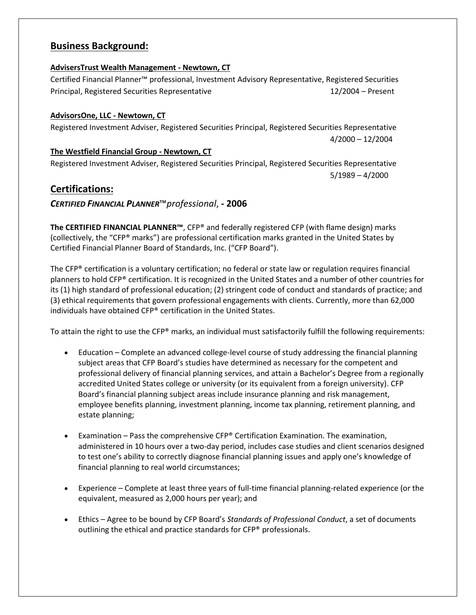### **Business Background:**

#### **AdvisersTrust Wealth Management - Newtown, CT**

Certified Financial Planner™ professional, Investment Advisory Representative, Registered Securities Principal, Registered Securities Representative 12/2004 – Present

#### **AdvisorsOne, LLC - Newtown, CT**

Registered Investment Adviser, Registered Securities Principal, Registered Securities Representative 4/2000 – 12/2004

**The Westfield Financial Group - Newtown, CT** Registered Investment Adviser, Registered Securities Principal, Registered Securities Representative 5/1989 – 4/2000

### **Certifications:**

*CERTIFIED FINANCIAL PLANNER*™*professional*, **- 2006**

**The CERTIFIED FINANCIAL PLANNER™**, CFP® and federally registered CFP (with flame design) marks (collectively, the "CFP® marks") are professional certification marks granted in the United States by Certified Financial Planner Board of Standards, Inc. ("CFP Board").

The CFP® certification is a voluntary certification; no federal or state law or regulation requires financial planners to hold CFP® certification. It is recognized in the United States and a number of other countries for its (1) high standard of professional education; (2) stringent code of conduct and standards of practice; and (3) ethical requirements that govern professional engagements with clients. Currently, more than 62,000 individuals have obtained CFP® certification in the United States.

To attain the right to use the CFP® marks, an individual must satisfactorily fulfill the following requirements:

- Education Complete an advanced college-level course of study addressing the financial planning subject areas that CFP Board's studies have determined as necessary for the competent and professional delivery of financial planning services, and attain a Bachelor's Degree from a regionally accredited United States college or university (or its equivalent from a foreign university). CFP Board's financial planning subject areas include insurance planning and risk management, employee benefits planning, investment planning, income tax planning, retirement planning, and estate planning;
- Examination Pass the comprehensive CFP® Certification Examination. The examination, administered in 10 hours over a two-day period, includes case studies and client scenarios designed to test one's ability to correctly diagnose financial planning issues and apply one's knowledge of financial planning to real world circumstances;
- Experience Complete at least three years of full-time financial planning-related experience (or the equivalent, measured as 2,000 hours per year); and
- Ethics Agree to be bound by CFP Board's *Standards of Professional Conduct*, a set of documents outlining the ethical and practice standards for CFP® professionals.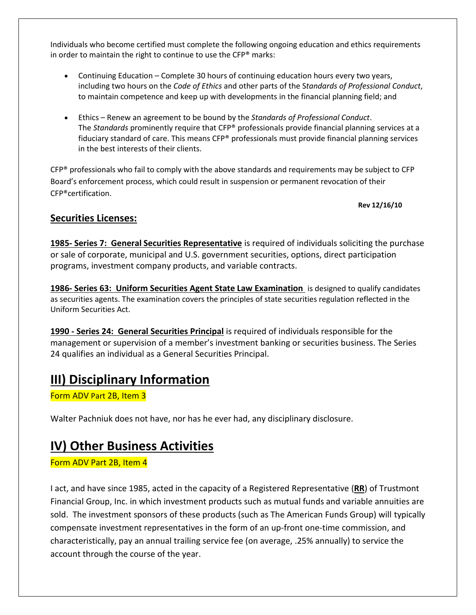Individuals who become certified must complete the following ongoing education and ethics requirements in order to maintain the right to continue to use the CFP® marks:

- Continuing Education Complete 30 hours of continuing education hours every two years, including two hours on the *Code of Ethics* and other parts of the S*tandards of Professional Conduct*, to maintain competence and keep up with developments in the financial planning field; and
- Ethics Renew an agreement to be bound by the *Standards of Professional Conduct*. The *Standards* prominently require that CFP® professionals provide financial planning services at a fiduciary standard of care. This means CFP® professionals must provide financial planning services in the best interests of their clients.

 $CFP<sup>®</sup>$  professionals who fail to comply with the above standards and requirements may be subject to CFP Board's enforcement process, which could result in suspension or permanent revocation of their CFP®certification.

**Rev 12/16/10**

### **Securities Licenses:**

**1985- Series 7: General Securities Representative** is required of individuals soliciting the purchase or sale of corporate, municipal and U.S. government securities, options, direct participation programs, investment company products, and variable contracts.

**1986- Series 63: Uniform Securities Agent State Law Examination** is designed to qualify candidates as securities agents. The examination covers the principles of state securities regulation reflected in the Uniform Securities Act.

**1990 - Series 24: General Securities Principal** is required of individuals responsible for the management or supervision of a member's investment banking or securities business. The Series 24 qualifies an individual as a General Securities Principal.

# **III) Disciplinary Information**

Form ADV Part 2B, Item 3

Walter Pachniuk does not have, nor has he ever had, any disciplinary disclosure.

# **IV) Other Business Activities**

Form ADV Part 2B, Item 4

I act, and have since 1985, acted in the capacity of a Registered Representative (**RR**) of Trustmont Financial Group, Inc. in which investment products such as mutual funds and variable annuities are sold. The investment sponsors of these products (such as The American Funds Group) will typically compensate investment representatives in the form of an up-front one-time commission, and characteristically, pay an annual trailing service fee (on average, .25% annually) to service the account through the course of the year.